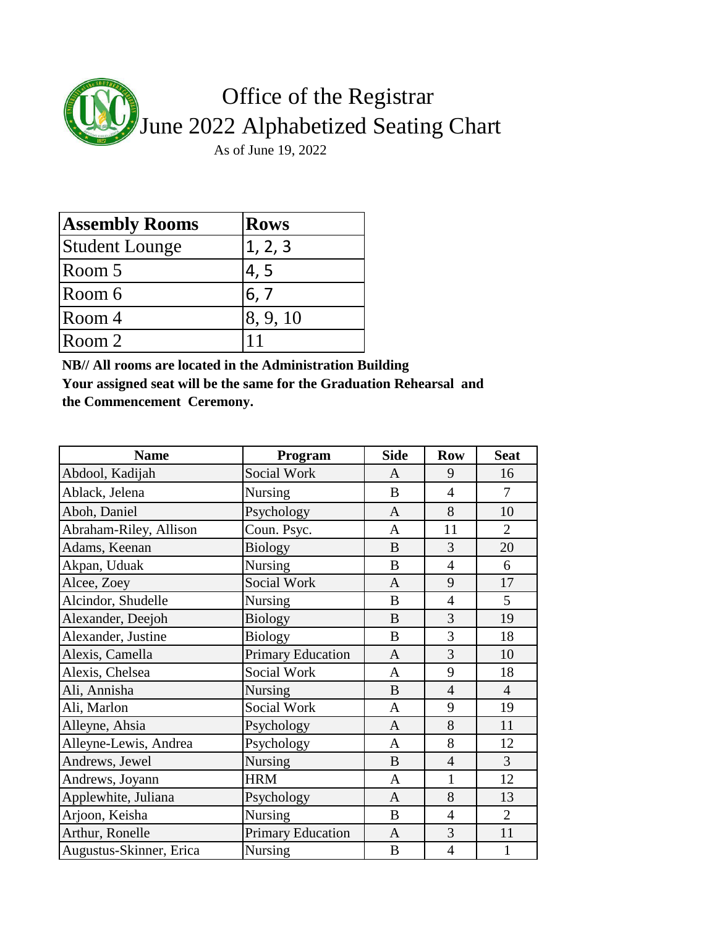

| <b>Assembly Rooms</b> | <b>Rows</b> |
|-----------------------|-------------|
| <b>Student Lounge</b> | 1, 2, 3     |
| Room 5                | 4, 5        |
| Room 6                | 6, 7        |
| Room 4                | 8, 9, 10    |
| Room 2                |             |

**NB// All rooms are located in the Administration Building**

**Your assigned seat will be the same for the Graduation Rehearsal and the Commencement Ceremony.**

| <b>Name</b>             | Program                  | <b>Side</b>  | <b>Row</b>     | <b>Seat</b>    |
|-------------------------|--------------------------|--------------|----------------|----------------|
| Abdool, Kadijah         | <b>Social Work</b>       | $\mathbf{A}$ | 9              | 16             |
| Ablack, Jelena          | <b>Nursing</b>           | B            | $\overline{4}$ | 7              |
| Aboh, Daniel            | Psychology               | $\mathbf{A}$ | 8              | 10             |
| Abraham-Riley, Allison  | Coun. Psyc.              | A            | 11             | $\overline{2}$ |
| Adams, Keenan           | <b>Biology</b>           | B            | 3              | 20             |
| Akpan, Uduak            | <b>Nursing</b>           | B            | $\overline{4}$ | 6              |
| Alcee, Zoey             | Social Work              | $\mathbf{A}$ | 9              | 17             |
| Alcindor, Shudelle      | <b>Nursing</b>           | B            | $\overline{4}$ | 5              |
| Alexander, Deejoh       | <b>Biology</b>           | B            | 3              | 19             |
| Alexander, Justine      | <b>Biology</b>           | B            | 3              | 18             |
| Alexis, Camella         | <b>Primary Education</b> | $\mathbf{A}$ | 3              | 10             |
| Alexis, Chelsea         | Social Work              | A            | 9              | 18             |
| Ali, Annisha            | <b>Nursing</b>           | B            | $\overline{4}$ | $\overline{4}$ |
| Ali, Marlon             | Social Work              | A            | 9              | 19             |
| Alleyne, Ahsia          | Psychology               | A            | 8              | 11             |
| Alleyne-Lewis, Andrea   | Psychology               | A            | 8              | 12             |
| Andrews, Jewel          | <b>Nursing</b>           | B            | $\overline{4}$ | 3              |
| Andrews, Joyann         | <b>HRM</b>               | A            | 1              | 12             |
| Applewhite, Juliana     | Psychology               | $\mathbf{A}$ | 8              | 13             |
| Arjoon, Keisha          | Nursing                  | B            | $\overline{4}$ | $\overline{2}$ |
| Arthur, Ronelle         | <b>Primary Education</b> | $\mathbf{A}$ | 3              | 11             |
| Augustus-Skinner, Erica | Nursing                  | B            | $\overline{4}$ | $\mathbf{1}$   |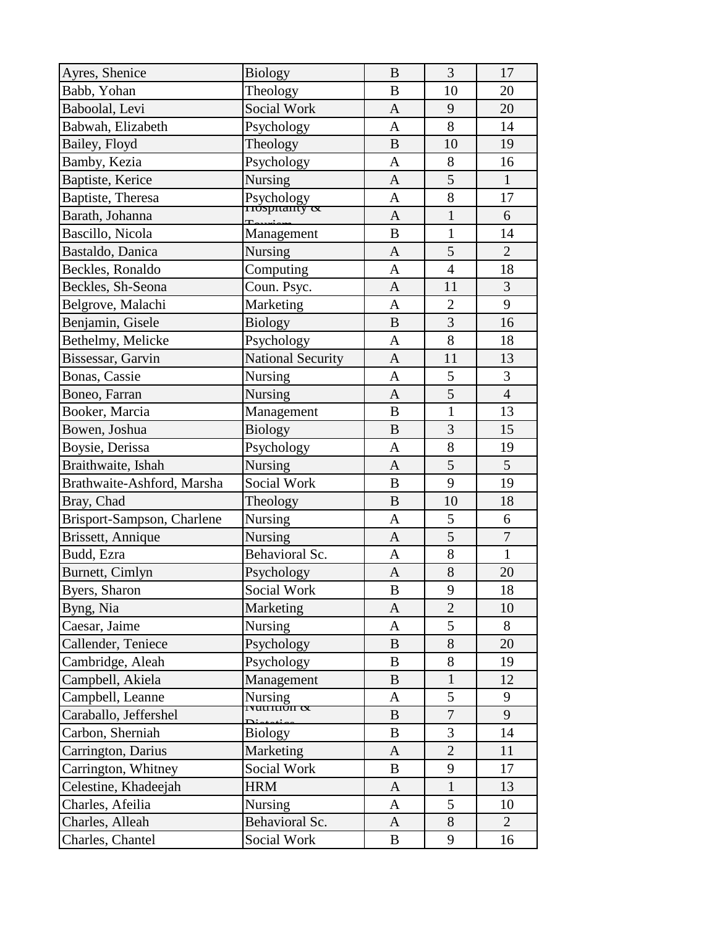| Ayres, Shenice             | <b>Biology</b>              | $\bf{B}$       | 3              | 17             |
|----------------------------|-----------------------------|----------------|----------------|----------------|
| Babb, Yohan                | Theology                    | B              | 10             | 20             |
| Baboolal, Levi             | Social Work                 | $\mathbf{A}$   | 9              | 20             |
| Babwah, Elizabeth          | Psychology                  | $\mathbf{A}$   | 8              | 14             |
| Bailey, Floyd              | Theology                    | $\bf{B}$       | 10             | 19             |
| Bamby, Kezia               | Psychology                  | $\mathbf{A}$   | 8              | 16             |
| Baptiste, Kerice           | <b>Nursing</b>              | $\mathbf{A}$   | 5              | $\mathbf{1}$   |
| Baptiste, Theresa          | Psychology<br>Trospitally & | $\mathbf{A}$   | 8              | 17             |
| Barath, Johanna            |                             | $\mathbf{A}$   | $\mathbf{1}$   | 6              |
| Bascillo, Nicola           | Management                  | B              | $\mathbf{1}$   | 14             |
| Bastaldo, Danica           | <b>Nursing</b>              | $\mathbf{A}$   | 5              | $\overline{2}$ |
| Beckles, Ronaldo           | Computing                   | $\mathbf{A}$   | $\overline{4}$ | 18             |
| Beckles, Sh-Seona          | Coun. Psyc.                 | $\mathbf{A}$   | 11             | 3              |
| Belgrove, Malachi          | Marketing                   | A              | $\overline{2}$ | 9              |
| Benjamin, Gisele           | <b>Biology</b>              | $\bf{B}$       | 3              | 16             |
| Bethelmy, Melicke          | Psychology                  | $\mathbf{A}$   | 8              | 18             |
| Bissessar, Garvin          | <b>National Security</b>    | $\mathbf{A}$   | 11             | 13             |
| Bonas, Cassie              | <b>Nursing</b>              | $\mathbf{A}$   | 5              | 3              |
| Boneo, Farran              | Nursing                     | $\mathbf{A}$   | $\overline{5}$ | $\overline{4}$ |
| Booker, Marcia             | Management                  | B              | $\mathbf{1}$   | 13             |
| Bowen, Joshua              | <b>Biology</b>              | $\bf{B}$       | 3              | 15             |
| Boysie, Derissa            | Psychology                  | A              | 8              | 19             |
| Braithwaite, Ishah         | Nursing                     | $\mathbf{A}$   | 5              | 5              |
| Brathwaite-Ashford, Marsha | Social Work                 | $\bf{B}$       | 9              | 19             |
| Bray, Chad                 | Theology                    | $\bf{B}$       | 10             | 18             |
| Brisport-Sampson, Charlene | <b>Nursing</b>              | A              | 5              | 6              |
| Brissett, Annique          | Nursing                     | $\mathbf{A}$   | 5              | $\overline{7}$ |
| Budd, Ezra                 | Behavioral Sc.              | A              | 8              | $\mathbf{1}$   |
| Burnett, Cimlyn            | Psychology                  | A              | $8\,$          | 20             |
| Byers, Sharon              | Social Work                 | $\overline{B}$ | 9              | 18             |
| Byng, Nia                  | Marketing                   | A              | $\overline{2}$ | 10             |
| Caesar, Jaime              | <b>Nursing</b>              | A              | 5              | 8              |
| Callender, Teniece         | Psychology                  | B              | 8              | 20             |
| Cambridge, Aleah           | Psychology                  | B              | 8              | 19             |
| Campbell, Akiela           | Management                  | B              | $\mathbf{1}$   | 12             |
| Campbell, Leanne           | Nursing<br>Tyuttuon &       | A              | 5              | 9              |
| Caraballo, Jeffershel      |                             | B              | $\tau$         | 9              |
| Carbon, Sherniah           | <b>Biology</b>              | B              | 3              | 14             |
| Carrington, Darius         | Marketing                   | A              | $\overline{2}$ | 11             |
| Carrington, Whitney        | Social Work                 | B              | 9              | 17             |
| Celestine, Khadeejah       | <b>HRM</b>                  | A              | $\mathbf{1}$   | 13             |
| Charles, Afeilia           | Nursing                     | A              | 5              | 10             |
| Charles, Alleah            | Behavioral Sc.              | $\mathbf{A}$   | 8              | $\overline{2}$ |
| Charles, Chantel           | Social Work                 | B              | 9              | 16             |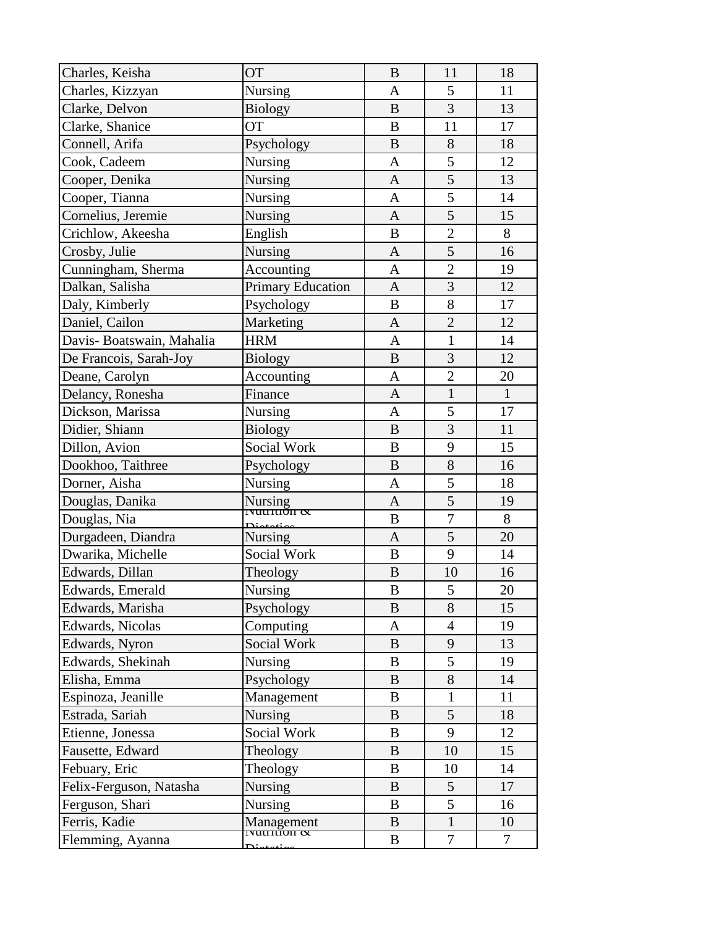| Charles, Keisha           | <b>OT</b>                      | $\bf{B}$     | 11             | 18             |
|---------------------------|--------------------------------|--------------|----------------|----------------|
| Charles, Kizzyan          | <b>Nursing</b>                 | $\mathbf{A}$ | 5              | 11             |
| Clarke, Delvon            | <b>Biology</b>                 | $\bf{B}$     | 3              | 13             |
| Clarke, Shanice           | <b>OT</b>                      | $\bf{B}$     | 11             | 17             |
| Connell, Arifa            | Psychology                     | $\bf{B}$     | 8              | 18             |
| Cook, Cadeem              | <b>Nursing</b>                 | A            | 5              | 12             |
| Cooper, Denika            | <b>Nursing</b>                 | $\mathbf{A}$ | 5              | 13             |
| Cooper, Tianna            | Nursing                        | $\mathbf{A}$ | 5              | 14             |
| Cornelius, Jeremie        | <b>Nursing</b>                 | $\mathbf{A}$ | 5              | 15             |
| Crichlow, Akeesha         | English                        | B            | $\overline{2}$ | 8              |
| Crosby, Julie             | Nursing                        | $\mathbf{A}$ | 5              | 16             |
| Cunningham, Sherma        | Accounting                     | $\mathbf{A}$ | $\overline{2}$ | 19             |
| Dalkan, Salisha           | <b>Primary Education</b>       | $\mathbf{A}$ | $\overline{3}$ | 12             |
| Daly, Kimberly            | Psychology                     | B            | 8              | 17             |
| Daniel, Cailon            | Marketing                      | $\mathbf{A}$ | $\overline{2}$ | 12             |
| Davis- Boatswain, Mahalia | <b>HRM</b>                     | $\mathbf{A}$ | $\mathbf{1}$   | 14             |
| De Francois, Sarah-Joy    | <b>Biology</b>                 | $\bf{B}$     | $\overline{3}$ | 12             |
| Deane, Carolyn            | Accounting                     | $\mathbf{A}$ | $\overline{2}$ | 20             |
| Delancy, Ronesha          | Finance                        | $\mathbf{A}$ | $\mathbf{1}$   | $\mathbf{1}$   |
| Dickson, Marissa          | <b>Nursing</b>                 | $\mathbf{A}$ | 5              | 17             |
| Didier, Shiann            | <b>Biology</b>                 | $\bf{B}$     | $\overline{3}$ | 11             |
| Dillon, Avion             | Social Work                    | B            | 9              | 15             |
| Dookhoo, Taithree         | Psychology                     | B            | 8              | 16             |
| Dorner, Aisha             | Nursing                        | A            | 5              | 18             |
| Douglas, Danika           | Nursing<br>Tyuttuon &          | $\mathbf{A}$ | 5              | 19             |
| Douglas, Nia              |                                | B            | $\overline{7}$ | 8              |
| Durgadeen, Diandra        | Nursing                        | $\mathbf{A}$ | 5              | 20             |
| Dwarika, Michelle         | Social Work                    | B            | 9              | 14             |
| Edwards, Dillan           | Theology                       | $\bf{B}$     | 10             | 16             |
| Edwards, Emerald          | Nursing                        | $\, {\bf B}$ | 5              | 20             |
| Edwards, Marisha          | Psychology                     | B            | 8              | 15             |
| Edwards, Nicolas          | Computing                      | A            | $\overline{4}$ | 19             |
| Edwards, Nyron            | Social Work                    | $\bf{B}$     | 9              | 13             |
| Edwards, Shekinah         | Nursing                        | B            | 5              | 19             |
| Elisha, Emma              | Psychology                     | B            | 8              | 14             |
| Espinoza, Jeanille        | Management                     | B            | 1              | 11             |
| Estrada, Sariah           | Nursing                        | B            | 5              | 18             |
| Etienne, Jonessa          | Social Work                    | B            | 9              | 12             |
| Fausette, Edward          | Theology                       | B            | 10             | 15             |
| Febuary, Eric             | Theology                       | B            | 10             | 14             |
| Felix-Ferguson, Natasha   | <b>Nursing</b>                 | B            | 5              | 17             |
| Ferguson, Shari           | <b>Nursing</b>                 | B            | 5              | 16             |
| Ferris, Kadie             | Management                     | B            | $\mathbf{1}$   | 10             |
| Flemming, Ayanna          | <del>πιμπίση α</del><br>Distri | B            | $\overline{7}$ | $\overline{7}$ |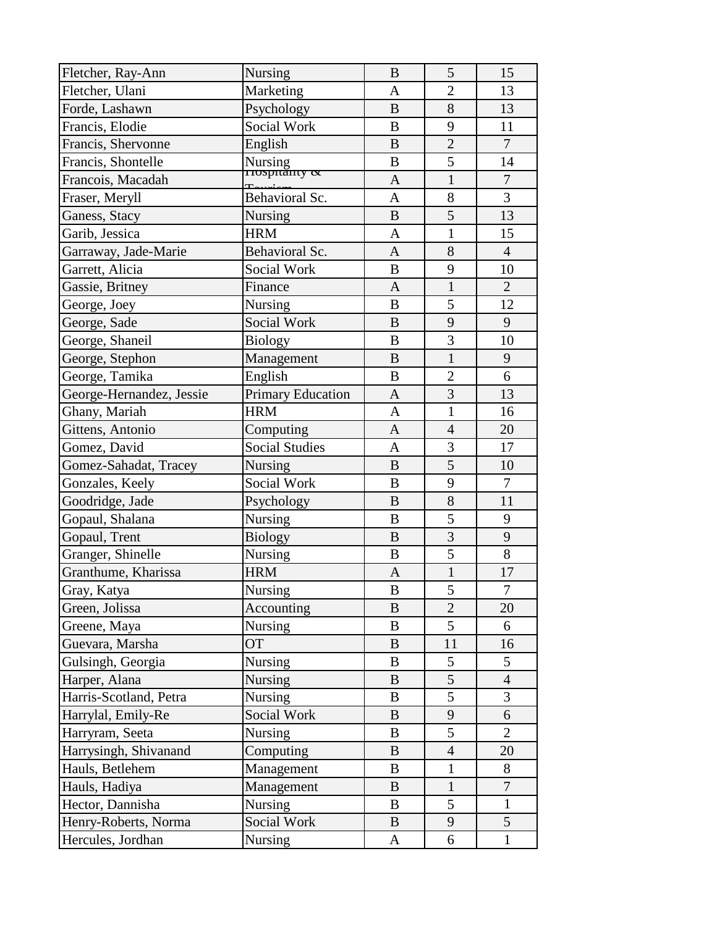| Fletcher, Ray-Ann        | <b>Nursing</b>            | $\bf{B}$     | 5              | 15               |
|--------------------------|---------------------------|--------------|----------------|------------------|
| Fletcher, Ulani          | Marketing                 | A            | $\overline{2}$ | 13               |
| Forde, Lashawn           | Psychology                | $\bf{B}$     | 8              | 13               |
| Francis, Elodie          | Social Work               | B            | 9              | 11               |
| Francis, Shervonne       | English                   | $\bf{B}$     | $\overline{2}$ | $\overline{7}$   |
| Francis, Shontelle       | Nursing<br>Trospitality & | B            | 5              | 14               |
| Francois, Macadah        |                           | $\mathbf{A}$ | $\mathbf{1}$   | $\overline{7}$   |
| Fraser, Meryll           | Behavioral Sc.            | $\mathbf{A}$ | 8              | $\overline{3}$   |
| Ganess, Stacy            | Nursing                   | $\bf{B}$     | 5              | 13               |
| Garib, Jessica           | <b>HRM</b>                | $\mathbf{A}$ | $\mathbf{1}$   | 15               |
| Garraway, Jade-Marie     | Behavioral Sc.            | $\mathbf{A}$ | 8              | $\overline{4}$   |
| Garrett, Alicia          | Social Work               | B            | 9              | 10               |
| Gassie, Britney          | Finance                   | $\mathbf{A}$ | $\mathbf{1}$   | $\overline{2}$   |
| George, Joey             | Nursing                   | $\bf{B}$     | 5              | 12               |
| George, Sade             | Social Work               | $\bf{B}$     | 9              | 9                |
| George, Shaneil          | <b>Biology</b>            | B            | 3              | 10               |
| George, Stephon          | Management                | B            | $\mathbf{1}$   | 9                |
| George, Tamika           | English                   | $\bf{B}$     | $\overline{2}$ | 6                |
| George-Hernandez, Jessie | Primary Education         | $\mathbf{A}$ | $\overline{3}$ | 13               |
| Ghany, Mariah            | <b>HRM</b>                | $\mathbf{A}$ | $\mathbf{1}$   | 16               |
| Gittens, Antonio         | Computing                 | A            | $\overline{4}$ | 20               |
| Gomez, David             | <b>Social Studies</b>     | $\mathbf{A}$ | 3              | 17               |
| Gomez-Sahadat, Tracey    | <b>Nursing</b>            | $\bf{B}$     | 5              | 10               |
| Gonzales, Keely          | Social Work               | B            | 9              | 7                |
| Goodridge, Jade          | Psychology                | $\bf{B}$     | 8              | 11               |
| Gopaul, Shalana          | <b>Nursing</b>            | $\bf{B}$     | 5              | 9                |
| Gopaul, Trent            | <b>Biology</b>            | $\bf{B}$     | 3              | 9                |
| Granger, Shinelle        | Nursing                   | $\bf{B}$     | 5              | 8                |
| Granthume, Kharissa      | <b>HRM</b>                | $\mathbf{A}$ | $\mathbf{1}$   | 17               |
| Gray, Katya              | Nursing                   | $\, {\bf B}$ | $\overline{5}$ | $\overline{7}$   |
| Green, Jolissa           | Accounting                | B            | $\overline{2}$ | 20               |
| Greene, Maya             | <b>Nursing</b>            | B            | 5              | 6                |
| Guevara, Marsha          | <b>OT</b>                 | B            | 11             | 16               |
| Gulsingh, Georgia        | <b>Nursing</b>            | B            | 5              | 5                |
| Harper, Alana            | <b>Nursing</b>            | B            | 5              | $\overline{4}$   |
| Harris-Scotland, Petra   | <b>Nursing</b>            | B            | 5              | 3                |
| Harrylal, Emily-Re       | Social Work               | B            | 9              | 6                |
| Harryram, Seeta          | <b>Nursing</b>            | B            | 5              | $\overline{2}$   |
| Harrysingh, Shivanand    | Computing                 | B            | $\overline{4}$ | 20               |
| Hauls, Betlehem          | Management                | B            | $\mathbf{1}$   | 8                |
| Hauls, Hadiya            | Management                | B            | $\mathbf{1}$   | $\boldsymbol{7}$ |
| Hector, Dannisha         | <b>Nursing</b>            | B            | 5              | $\mathbf{1}$     |
| Henry-Roberts, Norma     | Social Work               | B            | 9              | 5                |
| Hercules, Jordhan        | Nursing                   | $\mathbf{A}$ | 6              | $\mathbf{1}$     |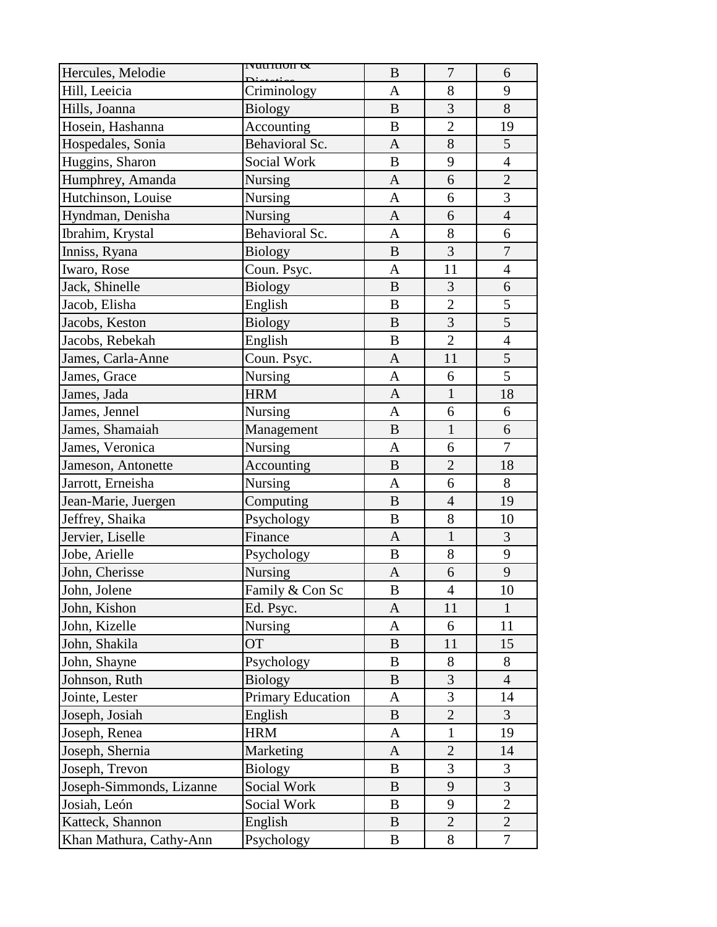| Hercules, Melodie        | г <del>уинтнон <math>\alpha</math></del> | B            | $\tau$         | 6                |
|--------------------------|------------------------------------------|--------------|----------------|------------------|
| Hill, Leeicia            | Criminology                              | A            | 8              | 9                |
| Hills, Joanna            | <b>Biology</b>                           | $\bf{B}$     | 3              | 8                |
| Hosein, Hashanna         | Accounting                               | $\bf{B}$     | $\overline{2}$ | 19               |
| Hospedales, Sonia        | Behavioral Sc.                           | $\mathbf{A}$ | 8              | 5                |
| Huggins, Sharon          | Social Work                              | $\bf{B}$     | 9              | $\overline{4}$   |
| Humphrey, Amanda         | <b>Nursing</b>                           | $\mathbf{A}$ | 6              | $\overline{2}$   |
| Hutchinson, Louise       | Nursing                                  | A            | 6              | 3                |
| Hyndman, Denisha         | <b>Nursing</b>                           | A            | 6              | $\overline{4}$   |
| Ibrahim, Krystal         | Behavioral Sc.                           | A            | 8              | 6                |
| Inniss, Ryana            | <b>Biology</b>                           | $\, {\bf B}$ | 3              | $\boldsymbol{7}$ |
| Iwaro, Rose              | Coun. Psyc.                              | $\mathbf{A}$ | 11             | $\overline{4}$   |
| Jack, Shinelle           | <b>Biology</b>                           | $\bf{B}$     | 3              | 6                |
| Jacob, Elisha            | English                                  | $\bf{B}$     | $\overline{2}$ | 5                |
| Jacobs, Keston           | <b>Biology</b>                           | $\bf{B}$     | 3              | 5                |
| Jacobs, Rebekah          | English                                  | $\bf{B}$     | $\overline{2}$ | $\overline{4}$   |
| James, Carla-Anne        | Coun. Psyc.                              | $\mathbf{A}$ | 11             | 5                |
| James, Grace             | Nursing                                  | $\mathbf{A}$ | 6              | $\overline{5}$   |
| James, Jada              | <b>HRM</b>                               | $\mathbf{A}$ | $\mathbf{1}$   | 18               |
| James, Jennel            | Nursing                                  | A            | 6              | 6                |
| James, Shamaiah          | Management                               | B            | $\mathbf{1}$   | 6                |
| James, Veronica          | Nursing                                  | $\mathbf{A}$ | 6              | $\overline{7}$   |
| Jameson, Antonette       | Accounting                               | B            | $\overline{2}$ | 18               |
| Jarrott, Erneisha        | Nursing                                  | $\mathbf{A}$ | 6              | 8                |
| Jean-Marie, Juergen      | Computing                                | $\bf{B}$     | $\overline{4}$ | 19               |
| Jeffrey, Shaika          | Psychology                               | $\bf{B}$     | 8              | 10               |
| Jervier, Liselle         | Finance                                  | $\mathbf{A}$ | $\mathbf{1}$   | 3                |
| Jobe, Arielle            | Psychology                               | $\bf{B}$     | 8              | 9                |
| John, Cherisse           | Nursing                                  | $\mathbf{A}$ | 6              | 9                |
| John, Jolene             | Family & Con Sc                          | B            | $\overline{4}$ | 10               |
| John, Kishon             | Ed. Psyc.                                | A            | 11             | 1                |
| John, Kizelle            | Nursing                                  | A            | 6              | 11               |
| John, Shakila            | <b>OT</b>                                | B            | 11             | 15               |
| John, Shayne             | Psychology                               | B            | 8              | 8                |
| Johnson, Ruth            | <b>Biology</b>                           | B            | 3              | $\overline{4}$   |
| Jointe, Lester           | <b>Primary Education</b>                 | A            | 3              | 14               |
| Joseph, Josiah           | English                                  | B            | $\overline{2}$ | 3                |
| Joseph, Renea            | <b>HRM</b>                               | A            | $\mathbf{1}$   | 19               |
| Joseph, Shernia          | Marketing                                | $\mathbf{A}$ | $\overline{2}$ | 14               |
| Joseph, Trevon           | <b>Biology</b>                           | B            | 3              | 3                |
| Joseph-Simmonds, Lizanne | Social Work                              | $\mathbf{B}$ | 9              | 3                |
| Josiah, León             | Social Work                              | B            | 9              | $\overline{2}$   |
| Katteck, Shannon         | English                                  | B            | $\overline{2}$ | $\overline{2}$   |
| Khan Mathura, Cathy-Ann  | Psychology                               | B            | 8              | 7                |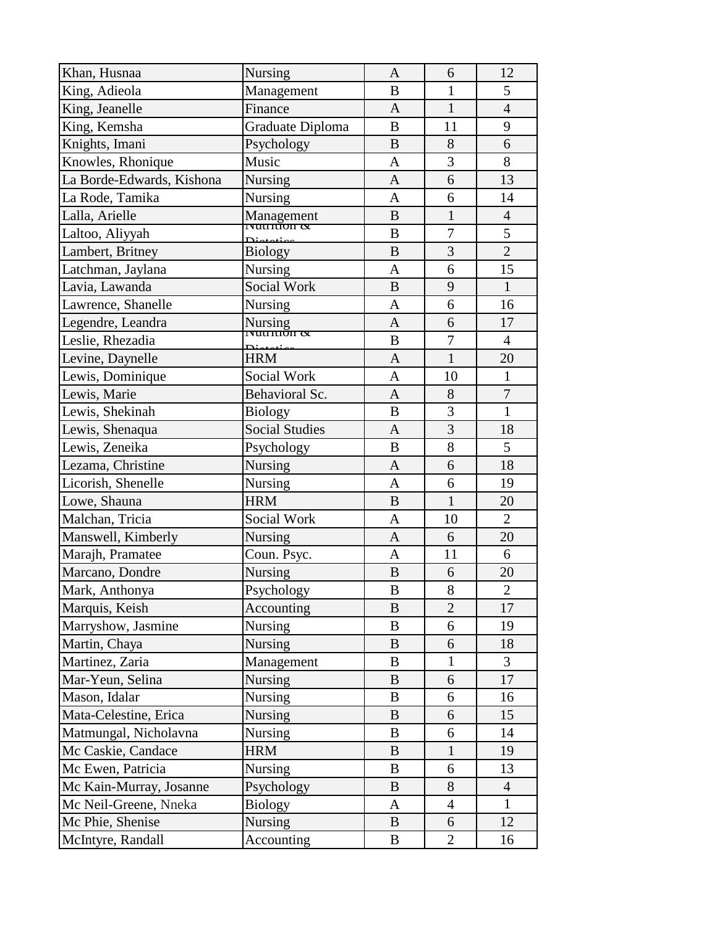| Khan, Husnaa              | <b>Nursing</b>        | $\mathbf{A}$   | 6              | 12             |
|---------------------------|-----------------------|----------------|----------------|----------------|
| King, Adieola             | Management            | B              | $\mathbf{1}$   | 5              |
| King, Jeanelle            | Finance               | $\mathbf{A}$   | $\mathbf{1}$   | $\overline{4}$ |
| King, Kemsha              | Graduate Diploma      | $\bf{B}$       | 11             | 9              |
| Knights, Imani            | Psychology            | $\bf{B}$       | 8              | 6              |
| Knowles, Rhonique         | Music                 | $\mathbf{A}$   | $\overline{3}$ | 8              |
| La Borde-Edwards, Kishona | <b>Nursing</b>        | $\mathbf{A}$   | 6              | 13             |
| La Rode, Tamika           | Nursing               | $\mathbf{A}$   | 6              | 14             |
| Lalla, Arielle            | Management            | B              | $\mathbf{1}$   | $\overline{4}$ |
| Laltoo, Aliyyah           |                       | B              | $\tau$         | 5              |
| Lambert, Britney          | <b>Biology</b>        | $\bf{B}$       | $\overline{3}$ | $\overline{2}$ |
| Latchman, Jaylana         | Nursing               | $\mathbf{A}$   | 6              | 15             |
| Lavia, Lawanda            | Social Work           | $\bf{B}$       | 9              | $\mathbf{1}$   |
| Lawrence, Shanelle        | <b>Nursing</b>        | $\mathbf{A}$   | 6              | 16             |
| Legendre, Leandra         | Nursing<br>Truttuon & | $\mathbf{A}$   | 6              | 17             |
| Leslie, Rhezadia          |                       | $\bf{B}$       | $\overline{7}$ | $\overline{4}$ |
| Levine, Daynelle          | <b>HRM</b>            | $\mathbf{A}$   | $\mathbf{1}$   | 20             |
| Lewis, Dominique          | Social Work           | $\mathbf{A}$   | 10             | $\mathbf{1}$   |
| Lewis, Marie              | Behavioral Sc.        | $\mathbf{A}$   | 8              | $\overline{7}$ |
| Lewis, Shekinah           | <b>Biology</b>        | B              | 3              | $\mathbf{1}$   |
| Lewis, Shenaqua           | <b>Social Studies</b> | $\mathbf{A}$   | $\overline{3}$ | 18             |
| Lewis, Zeneika            | Psychology            | B              | 8              | 5              |
| Lezama, Christine         | <b>Nursing</b>        | $\mathbf{A}$   | 6              | 18             |
| Licorish, Shenelle        | <b>Nursing</b>        | $\mathbf{A}$   | 6              | 19             |
| Lowe, Shauna              | <b>HRM</b>            | $\bf{B}$       | $\mathbf{1}$   | 20             |
| Malchan, Tricia           | Social Work           | A              | 10             | $\overline{2}$ |
| Manswell, Kimberly        | Nursing               | $\mathbf{A}$   | 6              | 20             |
| Marajh, Pramatee          | Coun. Psyc.           | $\mathbf{A}$   | 11             | 6              |
| Marcano, Dondre           | <b>Nursing</b>        | $\bf{B}$       | 6              | 20             |
| Mark, Anthonya            | Psychology            | $\overline{B}$ | 8              | $\overline{2}$ |
| Marquis, Keish            | Accounting            | B              | $\overline{2}$ | 17             |
| Marryshow, Jasmine        | <b>Nursing</b>        | B              | 6              | 19             |
| Martin, Chaya             | Nursing               | B              | 6              | 18             |
| Martinez, Zaria           | Management            | B              | $\mathbf{1}$   | 3              |
| Mar-Yeun, Selina          | <b>Nursing</b>        | B              | 6              | 17             |
| Mason, Idalar             | <b>Nursing</b>        | B              | 6              | 16             |
| Mata-Celestine, Erica     | <b>Nursing</b>        | B              | 6              | 15             |
| Matmungal, Nicholavna     | <b>Nursing</b>        | B              | 6              | 14             |
| Mc Caskie, Candace        | <b>HRM</b>            | B              | $\mathbf{1}$   | 19             |
| Mc Ewen, Patricia         | <b>Nursing</b>        | B              | 6              | 13             |
| Mc Kain-Murray, Josanne   | Psychology            | B              | 8              | $\overline{4}$ |
| Mc Neil-Greene, Nneka     | <b>Biology</b>        | A              | $\overline{4}$ | $\mathbf{1}$   |
| Mc Phie, Shenise          | <b>Nursing</b>        | B              | 6              | 12             |
| McIntyre, Randall         | Accounting            | B              | $\overline{2}$ | 16             |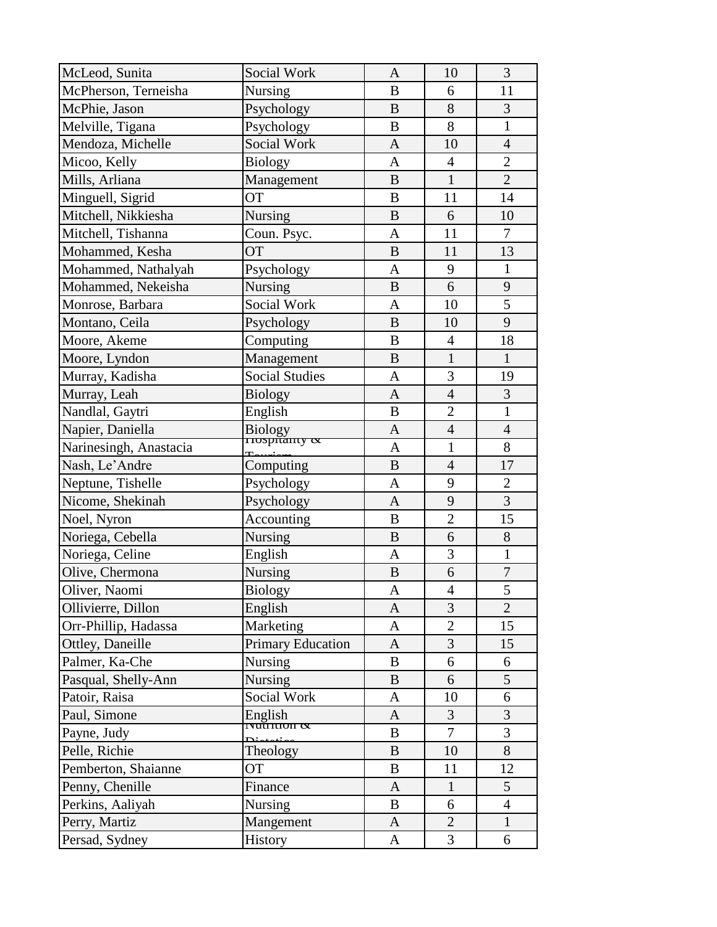| McLeod, Sunita         | Social Work              | $\mathbf{A}$ | 10             | 3              |
|------------------------|--------------------------|--------------|----------------|----------------|
| McPherson, Terneisha   | Nursing                  | $\bf{B}$     | 6              | 11             |
| McPhie, Jason          | Psychology               | $\bf{B}$     | 8              | 3              |
| Melville, Tigana       | Psychology               | B            | 8              | $\mathbf{1}$   |
| Mendoza, Michelle      | Social Work              | $\mathbf{A}$ | 10             | $\overline{4}$ |
| Micoo, Kelly           | <b>Biology</b>           | A            | $\overline{4}$ | $\overline{2}$ |
| Mills, Arliana         | Management               | $\bf{B}$     | $\overline{1}$ | $\overline{2}$ |
| Minguell, Sigrid       | <b>OT</b>                | B            | 11             | 14             |
| Mitchell, Nikkiesha    | Nursing                  | $\bf{B}$     | 6              | 10             |
| Mitchell, Tishanna     | Coun. Psyc.              | A            | 11             | $\tau$         |
| Mohammed, Kesha        | <b>OT</b>                | B            | 11             | 13             |
| Mohammed, Nathalyah    | Psychology               | $\mathbf{A}$ | 9              | $\mathbf{1}$   |
| Mohammed, Nekeisha     | <b>Nursing</b>           | $\bf{B}$     | 6              | 9              |
| Monrose, Barbara       | Social Work              | $\mathbf{A}$ | 10             | 5              |
| Montano, Ceila         | Psychology               | B            | 10             | 9              |
| Moore, Akeme           | Computing                | $\bf{B}$     | $\overline{4}$ | 18             |
| Moore, Lyndon          | Management               | B            | $\mathbf{1}$   | $\mathbf{1}$   |
| Murray, Kadisha        | <b>Social Studies</b>    | $\mathbf{A}$ | 3              | 19             |
| Murray, Leah           | <b>Biology</b>           | $\mathbf{A}$ | $\overline{4}$ | 3              |
| Nandlal, Gaytri        | English                  | $\bf{B}$     | $\overline{2}$ | $\mathbf{1}$   |
| Napier, Daniella       | Biology<br>Trospitanty & | A            | $\overline{4}$ | $\overline{4}$ |
| Narinesingh, Anastacia |                          | A            | $\mathbf{1}$   | 8              |
| Nash, Le'Andre         | Computing                | $\bf{B}$     | $\overline{4}$ | 17             |
| Neptune, Tishelle      | Psychology               | A            | 9              | $\overline{2}$ |
| Nicome, Shekinah       | Psychology               | $\mathbf{A}$ | 9              | 3              |
| Noel, Nyron            | Accounting               | $\bf{B}$     | $\overline{2}$ | 15             |
| Noriega, Cebella       | <b>Nursing</b>           | $\mathbf{B}$ | 6              | 8              |
| Noriega, Celine        | English                  | $\mathbf{A}$ | 3              | $\mathbf{1}$   |
| Olive, Chermona        | Nursing                  | $\bf{B}$     | 6              | $\overline{7}$ |
| Oliver, Naomi          | Biology                  | A            | $\overline{4}$ | 5              |
| Ollivierre, Dillon     | English                  | A            | 3              | $\overline{2}$ |
| Orr-Phillip, Hadassa   | Marketing                | A            | $\overline{2}$ | 15             |
| Ottley, Daneille       | <b>Primary Education</b> | A            | 3              | 15             |
| Palmer, Ka-Che         | <b>Nursing</b>           | B            | 6              | 6              |
| Pasqual, Shelly-Ann    | <b>Nursing</b>           | B            | 6              | 5              |
| Patoir, Raisa          | Social Work              | A            | 10             | 6              |
| Paul, Simone           | English                  | A            | 3              | $\overline{3}$ |
| Payne, Judy            | $\frac{200}{1800}$       | B            | $\overline{7}$ | 3              |
| Pelle, Richie          | Theology                 | B            | 10             | 8              |
| Pemberton, Shaianne    | <b>OT</b>                | B            | 11             | 12             |
| Penny, Chenille        | Finance                  | A            | $\mathbf{1}$   | 5              |
| Perkins, Aaliyah       | <b>Nursing</b>           | B            | 6              | $\overline{4}$ |
| Perry, Martiz          | Mangement                | A            | $\overline{2}$ | $\mathbf{1}$   |
| Persad, Sydney         | History                  | A            | 3              | 6              |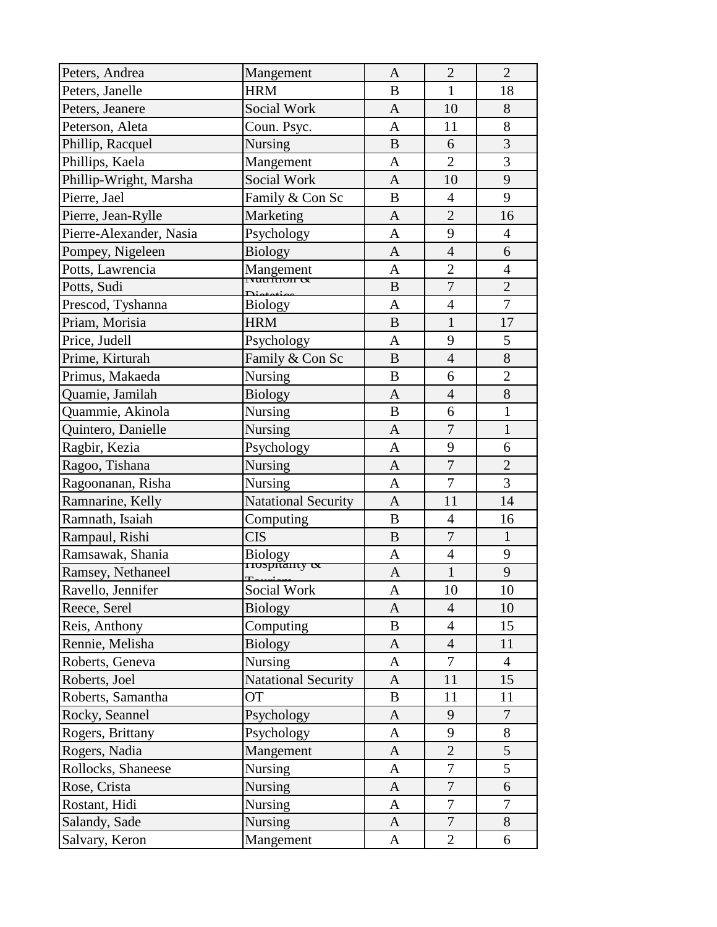| Peters, Andrea          | Mangement                  | $\mathbf{A}$ | $\overline{2}$ | $\overline{2}$ |
|-------------------------|----------------------------|--------------|----------------|----------------|
| Peters, Janelle         | <b>HRM</b>                 | $\bf{B}$     | $\mathbf{1}$   | 18             |
| Peters, Jeanere         | <b>Social Work</b>         | $\mathbf{A}$ | 10             | 8              |
| Peterson, Aleta         | Coun. Psyc.                | $\mathbf{A}$ | 11             | 8              |
| Phillip, Racquel        | Nursing                    | $\mathbf{B}$ | 6              | $\overline{3}$ |
| Phillips, Kaela         | Mangement                  | $\mathbf{A}$ | $\overline{2}$ | $\overline{3}$ |
| Phillip-Wright, Marsha  | Social Work                | $\mathbf{A}$ | 10             | 9              |
| Pierre, Jael            | Family & Con Sc            | B            | $\overline{4}$ | 9              |
| Pierre, Jean-Rylle      | Marketing                  | A            | $\overline{2}$ | 16             |
| Pierre-Alexander, Nasia | Psychology                 | A            | 9              | $\overline{4}$ |
| Pompey, Nigeleen        | <b>Biology</b>             | $\mathbf{A}$ | $\overline{4}$ | 6              |
| Potts, Lawrencia        | Mangement                  | $\mathbf{A}$ | $\overline{2}$ | $\overline{4}$ |
| Potts, Sudi             | ιναιτίποπ α                | $\mathbf{B}$ | $\overline{7}$ | $\overline{2}$ |
| Prescod, Tyshanna       | <b>Biology</b>             | $\mathbf{A}$ | $\overline{4}$ | $\overline{7}$ |
| Priam, Morisia          | <b>HRM</b>                 | $\mathbf{B}$ | $\mathbf{1}$   | 17             |
| Price, Judell           | Psychology                 | $\mathbf{A}$ | 9              | 5              |
| Prime, Kirturah         | Family & Con Sc            | $\mathbf{B}$ | $\overline{4}$ | 8              |
| Primus, Makaeda         | <b>Nursing</b>             | $\bf{B}$     | 6              | $\overline{2}$ |
| Quamie, Jamilah         | <b>Biology</b>             | $\mathbf{A}$ | $\overline{4}$ | $\overline{8}$ |
| Quammie, Akinola        | Nursing                    | $\bf{B}$     | 6              | $\mathbf{1}$   |
| Quintero, Danielle      | <b>Nursing</b>             | A            | $\overline{7}$ | $\mathbf{1}$   |
| Ragbir, Kezia           | Psychology                 | A            | 9              | 6              |
| Ragoo, Tishana          | Nursing                    | $\mathbf{A}$ | $\overline{7}$ | $\overline{2}$ |
| Ragoonanan, Risha       | Nursing                    | $\mathbf{A}$ | $\overline{7}$ | 3              |
| Ramnarine, Kelly        | <b>Natational Security</b> | $\mathbf{A}$ | 11             | 14             |
| Ramnath, Isaiah         | Computing                  | B            | $\overline{4}$ | 16             |
| Rampaul, Rishi          | <b>CIS</b>                 | $\mathbf{B}$ | $\overline{7}$ | $\mathbf{1}$   |
| Ramsawak, Shania        | Biology<br>Trospitanty &   | A            | $\overline{4}$ | 9              |
| Ramsey, Nethaneel       |                            | $\mathbf{A}$ | $\mathbf{1}$   | 9              |
| Ravello, Jennifer       | Termien                    | A            | 10             | 10             |
| Reece, Serel            | <b>Biology</b>             | $\mathbf{A}$ | $\overline{4}$ | 10             |
| Reis, Anthony           | Computing                  | B            | 4              | 15             |
| Rennie, Melisha         | <b>Biology</b>             | $\mathbf{A}$ | $\overline{4}$ | 11             |
| Roberts, Geneva         | <b>Nursing</b>             | A            | $\overline{7}$ | $\overline{4}$ |
| Roberts, Joel           | <b>Natational Security</b> | A            | 11             | 15             |
| Roberts, Samantha       | OT                         | B            | 11             | 11             |
| Rocky, Seannel          | Psychology                 | A            | 9              | 7              |
| Rogers, Brittany        | Psychology                 | A            | 9              | 8              |
| Rogers, Nadia           | Mangement                  | $\mathbf{A}$ | $\overline{2}$ | 5              |
| Rollocks, Shaneese      | <b>Nursing</b>             | A            | $\overline{7}$ | 5              |
| Rose, Crista            | <b>Nursing</b>             | A            | $\tau$         | 6              |
| Rostant, Hidi           | <b>Nursing</b>             | $\mathbf{A}$ | $\overline{7}$ | $\overline{7}$ |
| Salandy, Sade           | <b>Nursing</b>             | A            | $\overline{7}$ | $8\,$          |
| Salvary, Keron          | Mangement                  | A            | $\overline{2}$ | 6              |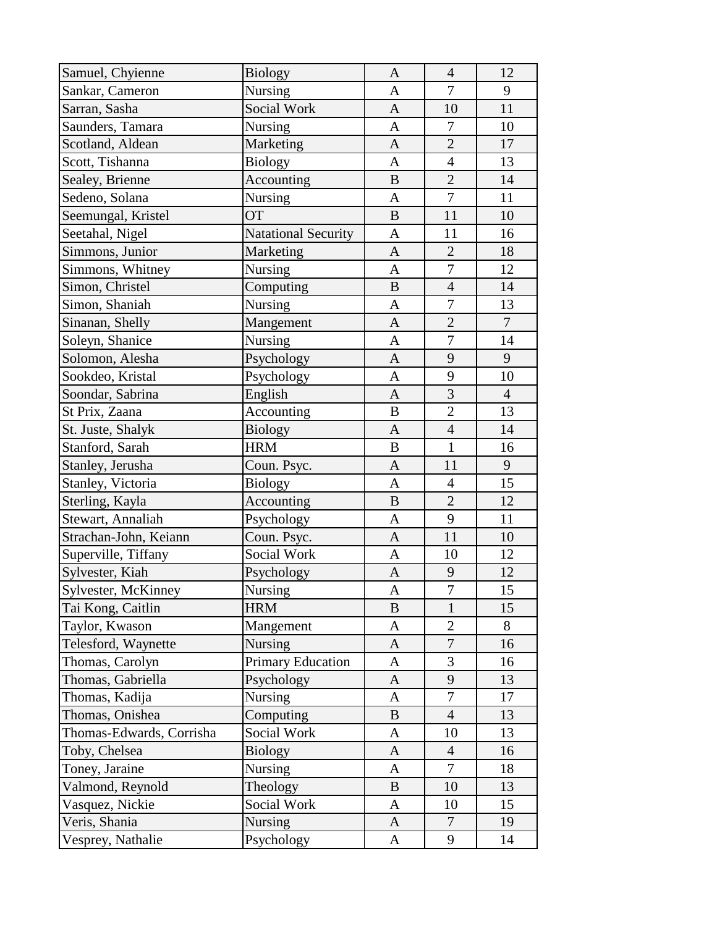| Samuel, Chyienne         | <b>Biology</b>             | $\mathbf{A}$ | $\overline{4}$   | 12             |
|--------------------------|----------------------------|--------------|------------------|----------------|
| Sankar, Cameron          | Nursing                    | A            | $\tau$           | 9              |
| Sarran, Sasha            | Social Work                | $\mathbf{A}$ | 10               | 11             |
| Saunders, Tamara         | Nursing                    | $\mathbf{A}$ | $\boldsymbol{7}$ | 10             |
| Scotland, Aldean         | Marketing                  | $\mathbf{A}$ | $\overline{2}$   | 17             |
| Scott, Tishanna          | <b>Biology</b>             | $\mathbf{A}$ | $\overline{4}$   | 13             |
| Sealey, Brienne          | Accounting                 | $\bf{B}$     | $\overline{2}$   | 14             |
| Sedeno, Solana           | <b>Nursing</b>             | $\mathbf{A}$ | $\overline{7}$   | 11             |
| Seemungal, Kristel       | <b>OT</b>                  | $\bf{B}$     | 11               | 10             |
| Seetahal, Nigel          | <b>Natational Security</b> | A            | 11               | 16             |
| Simmons, Junior          | Marketing                  | $\mathbf{A}$ | $\overline{2}$   | 18             |
| Simmons, Whitney         | Nursing                    | A            | $\overline{7}$   | 12             |
| Simon, Christel          | Computing                  | $\bf{B}$     | $\overline{4}$   | 14             |
| Simon, Shaniah           | Nursing                    | $\mathbf{A}$ | $\overline{7}$   | 13             |
| Sinanan, Shelly          | Mangement                  | $\mathbf{A}$ | $\overline{2}$   | $\tau$         |
| Soleyn, Shanice          | Nursing                    | $\mathbf{A}$ | $\overline{7}$   | 14             |
| Solomon, Alesha          | Psychology                 | $\mathbf{A}$ | 9                | 9              |
| Sookdeo, Kristal         | Psychology                 | $\mathbf{A}$ | 9                | 10             |
| Soondar, Sabrina         | English                    | $\mathbf{A}$ | $\overline{3}$   | $\overline{4}$ |
| St Prix, Zaana           | Accounting                 | $\bf{B}$     | $\overline{2}$   | 13             |
| St. Juste, Shalyk        | Biology                    | A            | $\overline{4}$   | 14             |
| Stanford, Sarah          | <b>HRM</b>                 | $\bf{B}$     | $\mathbf{1}$     | 16             |
| Stanley, Jerusha         | Coun. Psyc.                | $\mathbf{A}$ | 11               | 9              |
| Stanley, Victoria        | <b>Biology</b>             | A            | $\overline{4}$   | 15             |
| Sterling, Kayla          | Accounting                 | B            | $\overline{2}$   | 12             |
| Stewart, Annaliah        | Psychology                 | A            | 9                | 11             |
| Strachan-John, Keiann    | Coun. Psyc.                | $\mathbf{A}$ | 11               | 10             |
| Superville, Tiffany      | Social Work                | A            | 10               | 12             |
| Sylvester, Kiah          | Psychology                 | A            | 9                | 12             |
| Sylvester, McKinney      | <b>Nursing</b>             | A            | $\overline{7}$   | 15             |
| Tai Kong, Caitlin        | <b>HRM</b>                 | B            | $\mathbf{1}$     | 15             |
| Taylor, Kwason           | Mangement                  | A            | $\overline{2}$   | 8              |
| Telesford, Waynette      | Nursing                    | A            | $\tau$           | 16             |
| Thomas, Carolyn          | <b>Primary Education</b>   | A            | 3                | 16             |
| Thomas, Gabriella        | Psychology                 | A            | $\mathbf{9}$     | 13             |
| Thomas, Kadija           | Nursing                    | A            | 7                | 17             |
| Thomas, Onishea          | Computing                  | B            | $\overline{4}$   | 13             |
| Thomas-Edwards, Corrisha | Social Work                | A            | 10               | 13             |
| Toby, Chelsea            | <b>Biology</b>             | A            | $\overline{4}$   | 16             |
| Toney, Jaraine           | <b>Nursing</b>             | A            | $\tau$           | 18             |
| Valmond, Reynold         | Theology                   | B            | 10               | 13             |
| Vasquez, Nickie          | Social Work                | A            | 10               | 15             |
| Veris, Shania            | <b>Nursing</b>             | A            | $\overline{7}$   | 19             |
| Vesprey, Nathalie        | Psychology                 | A            | 9                | 14             |